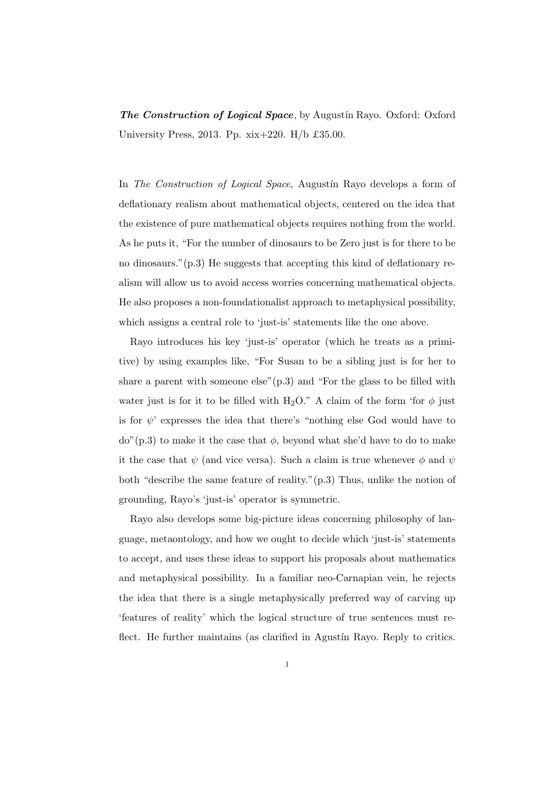*The Construction of Logical Space*, by Augustín Rayo. Oxford: Oxford University Press, 2013. Pp. xix+220. H/b £35.00.

In *The Construction of Logical Space*, Augustín Rayo develops a form of deflationary realism about mathematical objects, centered on the idea that the existence of pure mathematical objects requires nothing from the world. As he puts it, "For the number of dinosaurs to be Zero just is for there to be no dinosaurs."(p.3) He suggests that accepting this kind of deflationary realism will allow us to avoid access worries concerning mathematical objects. He also proposes a non-foundationalist approach to metaphysical possibility, which assigns a central role to 'just-is' statements like the one above.

Rayo introduces his key 'just-is' operator (which he treats as a primitive) by using examples like, "For Susan to be a sibling just is for her to share a parent with someone else" $(p.3)$  and "For the glass to be filled with water just is for it to be filled with H<sub>2</sub>O." A claim of the form 'for  $\phi$  just is for  $\psi$ ' expresses the idea that there's "nothing else God would have to  $d\sigma$ <sup>"</sup>(p.3) to make it the case that  $\phi$ , beyond what she'd have to do to make it the case that  $\psi$  (and vice versa). Such a claim is true whenever  $\phi$  and  $\psi$ both "describe the same feature of reality."(p.3) Thus, unlike the notion of grounding, Rayo's 'just-is' operator is symmetric.

Rayo also develops some big-picture ideas concerning philosophy of language, metaontology, and how we ought to decide which 'just-is' statements to accept, and uses these ideas to support his proposals about mathematics and metaphysical possibility. In a familiar neo-Carnapian vein, he rejects the idea that there is a single metaphysically preferred way of carving up 'features of reality' which the logical structure of true sentences must reflect. He further maintains (as clarified in Agustín Rayo. Reply to critics.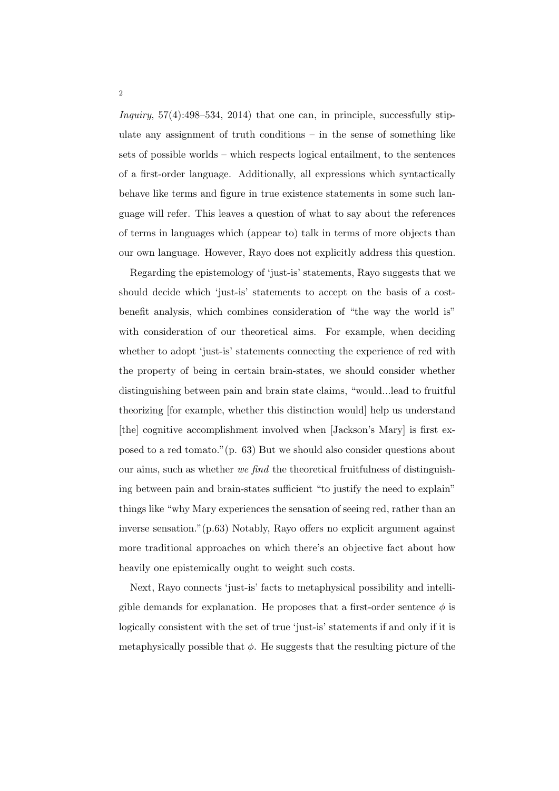*Inquiry*, 57(4):498–534, 2014) that one can, in principle, successfully stipulate any assignment of truth conditions  $-$  in the sense of something like sets of possible worlds – which respects logical entailment, to the sentences of a first-order language. Additionally, all expressions which syntactically behave like terms and figure in true existence statements in some such language will refer. This leaves a question of what to say about the references of terms in languages which (appear to) talk in terms of more objects than our own language. However, Rayo does not explicitly address this question.

Regarding the epistemology of 'just-is' statements, Rayo suggests that we should decide which 'just-is' statements to accept on the basis of a costbenefit analysis, which combines consideration of "the way the world is" with consideration of our theoretical aims. For example, when deciding whether to adopt 'just-is' statements connecting the experience of red with the property of being in certain brain-states, we should consider whether distinguishing between pain and brain state claims, "would...lead to fruitful theorizing [for example, whether this distinction would] help us understand [the] cognitive accomplishment involved when [Jackson's Mary] is first exposed to a red tomato."(p. 63) But we should also consider questions about our aims, such as whether *we find* the theoretical fruitfulness of distinguishing between pain and brain-states sufficient "to justify the need to explain" things like "why Mary experiences the sensation of seeing red, rather than an inverse sensation."(p.63) Notably, Rayo offers no explicit argument against more traditional approaches on which there's an objective fact about how heavily one epistemically ought to weight such costs.

Next, Rayo connects 'just-is' facts to metaphysical possibility and intelligible demands for explanation. He proposes that a first-order sentence  $\phi$  is logically consistent with the set of true 'just-is' statements if and only if it is metaphysically possible that  $\phi$ . He suggests that the resulting picture of the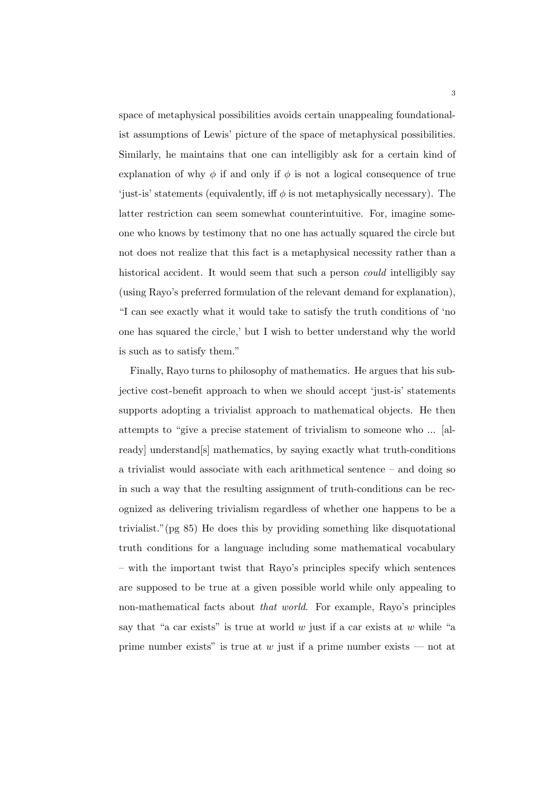space of metaphysical possibilities avoids certain unappealing foundationalist assumptions of Lewis' picture of the space of metaphysical possibilities. Similarly, he maintains that one can intelligibly ask for a certain kind of explanation of why  $\phi$  if and only if  $\phi$  is not a logical consequence of true 'just-is' statements (equivalently, iff  $\phi$  is not metaphysically necessary). The latter restriction can seem somewhat counterintuitive. For, imagine someone who knows by testimony that no one has actually squared the circle but not does not realize that this fact is a metaphysical necessity rather than a historical accident. It would seem that such a person *could* intelligibly say (using Rayo's preferred formulation of the relevant demand for explanation), "I can see exactly what it would take to satisfy the truth conditions of 'no one has squared the circle,' but I wish to better understand why the world is such as to satisfy them."

Finally, Rayo turns to philosophy of mathematics. He argues that his subjective cost-benefit approach to when we should accept 'just-is' statements supports adopting a trivialist approach to mathematical objects. He then attempts to "give a precise statement of trivialism to someone who ... [already] understand[s] mathematics, by saying exactly what truth-conditions a trivialist would associate with each arithmetical sentence – and doing so in such a way that the resulting assignment of truth-conditions can be recognized as delivering trivialism regardless of whether one happens to be a trivialist."(pg 85) He does this by providing something like disquotational truth conditions for a language including some mathematical vocabulary – with the important twist that Rayo's principles specify which sentences are supposed to be true at a given possible world while only appealing to non-mathematical facts about *that world*. For example, Rayo's principles say that "a car exists" is true at world *w* just if a car exists at *w* while "a prime number exists" is true at *w* just if a prime number exists — not at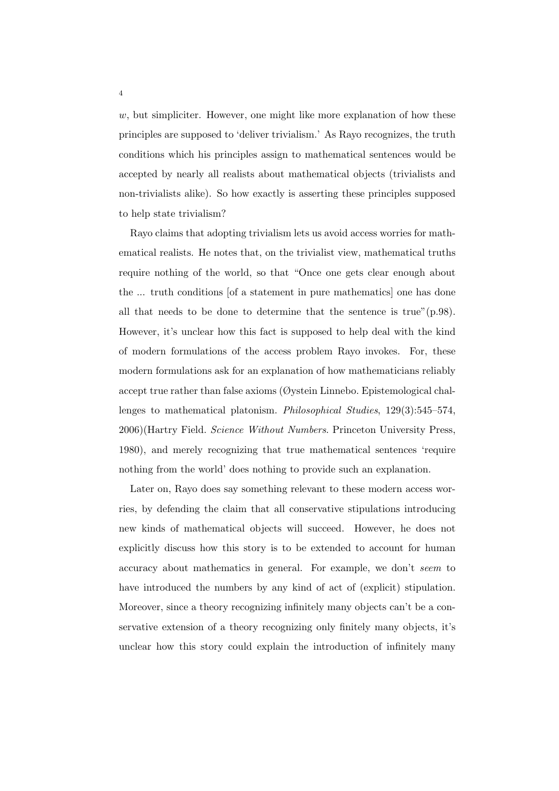*w*, but simpliciter. However, one might like more explanation of how these principles are supposed to 'deliver trivialism.' As Rayo recognizes, the truth conditions which his principles assign to mathematical sentences would be accepted by nearly all realists about mathematical objects (trivialists and non-trivialists alike). So how exactly is asserting these principles supposed to help state trivialism?

Rayo claims that adopting trivialism lets us avoid access worries for mathematical realists. He notes that, on the trivialist view, mathematical truths require nothing of the world, so that "Once one gets clear enough about the ... truth conditions [of a statement in pure mathematics] one has done all that needs to be done to determine that the sentence is true"(p.98). However, it's unclear how this fact is supposed to help deal with the kind of modern formulations of the access problem Rayo invokes. For, these modern formulations ask for an explanation of how mathematicians reliably accept true rather than false axioms (Øystein Linnebo. Epistemological challenges to mathematical platonism. *Philosophical Studies*, 129(3):545–574, 2006)(Hartry Field. *Science Without Numbers*. Princeton University Press, 1980), and merely recognizing that true mathematical sentences 'require nothing from the world' does nothing to provide such an explanation.

Later on, Rayo does say something relevant to these modern access worries, by defending the claim that all conservative stipulations introducing new kinds of mathematical objects will succeed. However, he does not explicitly discuss how this story is to be extended to account for human accuracy about mathematics in general. For example, we don't *seem* to have introduced the numbers by any kind of act of (explicit) stipulation. Moreover, since a theory recognizing infinitely many objects can't be a conservative extension of a theory recognizing only finitely many objects, it's unclear how this story could explain the introduction of infinitely many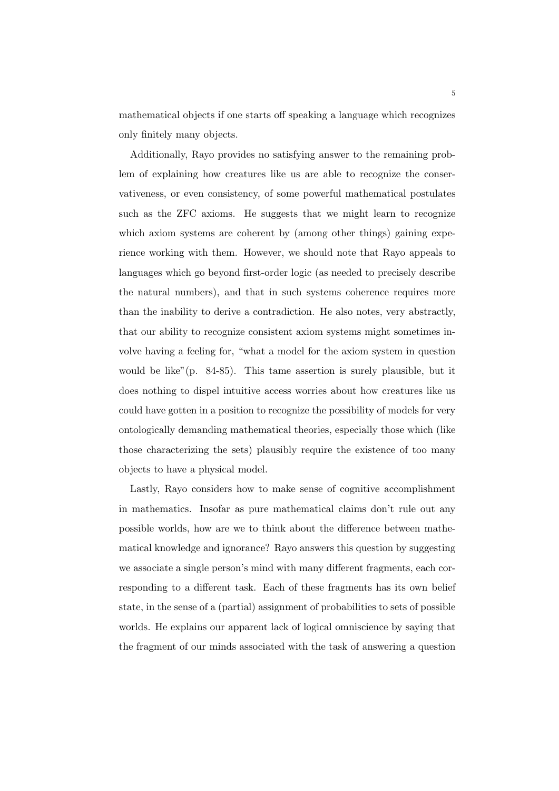mathematical objects if one starts off speaking a language which recognizes only finitely many objects.

Additionally, Rayo provides no satisfying answer to the remaining problem of explaining how creatures like us are able to recognize the conservativeness, or even consistency, of some powerful mathematical postulates such as the ZFC axioms. He suggests that we might learn to recognize which axiom systems are coherent by (among other things) gaining experience working with them. However, we should note that Rayo appeals to languages which go beyond first-order logic (as needed to precisely describe the natural numbers), and that in such systems coherence requires more than the inability to derive a contradiction. He also notes, very abstractly, that our ability to recognize consistent axiom systems might sometimes involve having a feeling for, "what a model for the axiom system in question would be like"(p. 84-85). This tame assertion is surely plausible, but it does nothing to dispel intuitive access worries about how creatures like us could have gotten in a position to recognize the possibility of models for very ontologically demanding mathematical theories, especially those which (like those characterizing the sets) plausibly require the existence of too many objects to have a physical model.

Lastly, Rayo considers how to make sense of cognitive accomplishment in mathematics. Insofar as pure mathematical claims don't rule out any possible worlds, how are we to think about the difference between mathematical knowledge and ignorance? Rayo answers this question by suggesting we associate a single person's mind with many different fragments, each corresponding to a different task. Each of these fragments has its own belief state, in the sense of a (partial) assignment of probabilities to sets of possible worlds. He explains our apparent lack of logical omniscience by saying that the fragment of our minds associated with the task of answering a question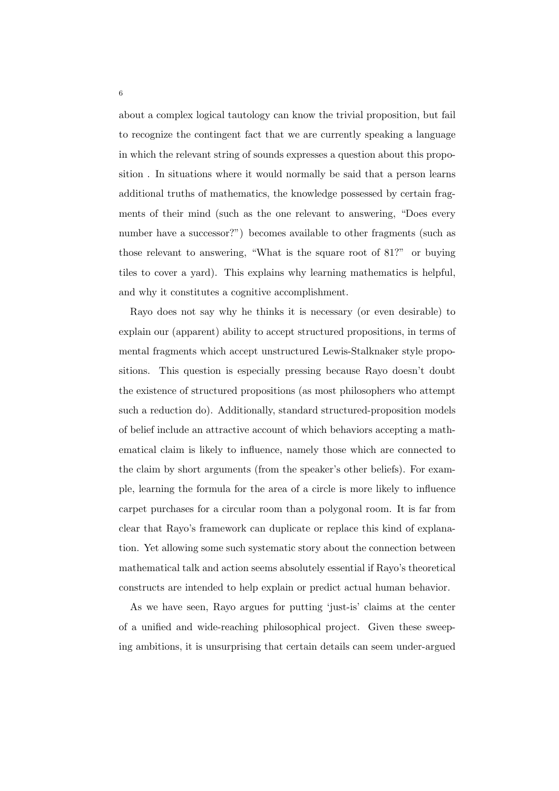about a complex logical tautology can know the trivial proposition, but fail to recognize the contingent fact that we are currently speaking a language in which the relevant string of sounds expresses a question about this proposition . In situations where it would normally be said that a person learns additional truths of mathematics, the knowledge possessed by certain fragments of their mind (such as the one relevant to answering, "Does every number have a successor?") becomes available to other fragments (such as those relevant to answering, "What is the square root of 81?" or buying tiles to cover a yard). This explains why learning mathematics is helpful, and why it constitutes a cognitive accomplishment.

Rayo does not say why he thinks it is necessary (or even desirable) to explain our (apparent) ability to accept structured propositions, in terms of mental fragments which accept unstructured Lewis-Stalknaker style propositions. This question is especially pressing because Rayo doesn't doubt the existence of structured propositions (as most philosophers who attempt such a reduction do). Additionally, standard structured-proposition models of belief include an attractive account of which behaviors accepting a mathematical claim is likely to influence, namely those which are connected to the claim by short arguments (from the speaker's other beliefs). For example, learning the formula for the area of a circle is more likely to influence carpet purchases for a circular room than a polygonal room. It is far from clear that Rayo's framework can duplicate or replace this kind of explanation. Yet allowing some such systematic story about the connection between mathematical talk and action seems absolutely essential if Rayo's theoretical constructs are intended to help explain or predict actual human behavior.

As we have seen, Rayo argues for putting 'just-is' claims at the center of a unified and wide-reaching philosophical project. Given these sweeping ambitions, it is unsurprising that certain details can seem under-argued